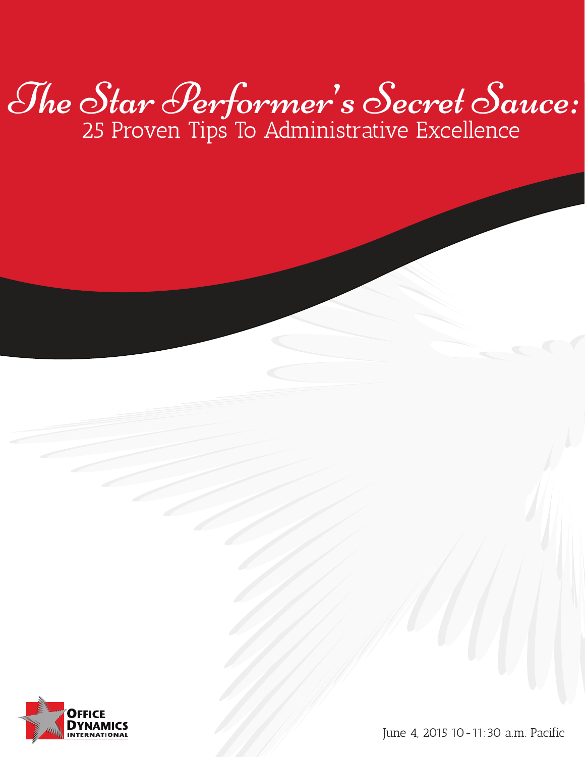# The Star Performer's Secret Sauce: 25 Proven Tips To Administrative Excellence



June 4, 2015 10-11:30 a.m. Pacific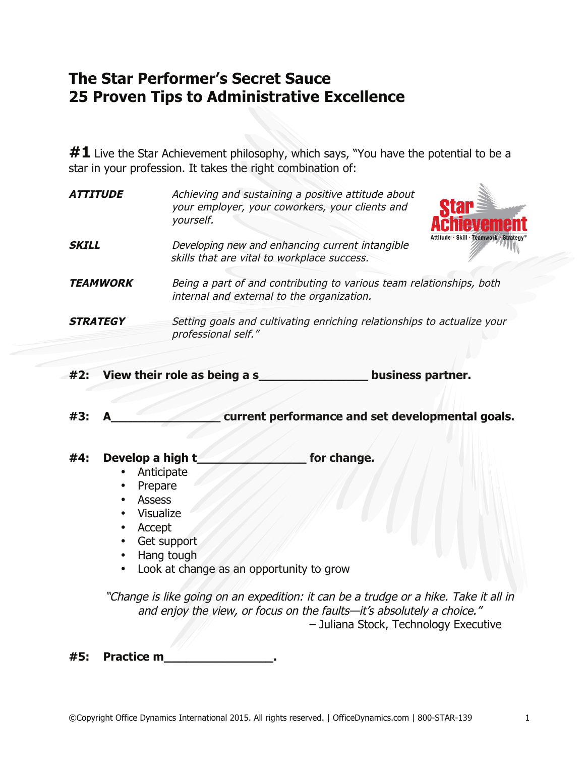### **The Star Performer's Secret Sauce 25 Proven Tips to Administrative Excellence**

#1 Live the Star Achievement philosophy, which says, "You have the potential to be a star in your profession. It takes the right combination of:

| <i><b>ATTITUDE</b></i> | Achieving and sustaining a positive attitude about<br>your employer, your coworkers, your clients and<br>yourself.                        |
|------------------------|-------------------------------------------------------------------------------------------------------------------------------------------|
| <b>SKILL</b>           | Attitude · Skill · Teamwork · Strategy®<br>Developing new and enhancing current intangible<br>skills that are vital to workplace success. |
| <b>TEAMWORK</b>        | Being a part of and contributing to various team relationships, both<br>internal and external to the organization.                        |
| <b>STRATEGY</b>        | Setting goals and cultivating enriching relationships to actualize your<br>professional self."                                            |

- **#2: View their role as being a s\_\_\_\_\_\_\_\_\_\_\_\_\_\_\_ business partner.**
- **#3: A\_\_\_\_\_\_\_\_\_\_\_\_\_\_\_ current performance and set developmental goals.**

#### **#4: Develop a high t\_\_\_\_\_\_\_\_\_\_\_\_\_\_\_ for change.**

- Anticipate
- Prepare
- Assess
- Visualize
- Accept
- Get support
- Hang tough
- Look at change as an opportunity to grow

"Change is like going on an expedition: it can be a trudge or a hike. Take it all in and enjoy the view, or focus on the faults—it's absolutely a choice." – Juliana Stock, Technology Executive

**#5: Practice m\_\_\_\_\_\_\_\_\_\_\_\_\_\_\_.**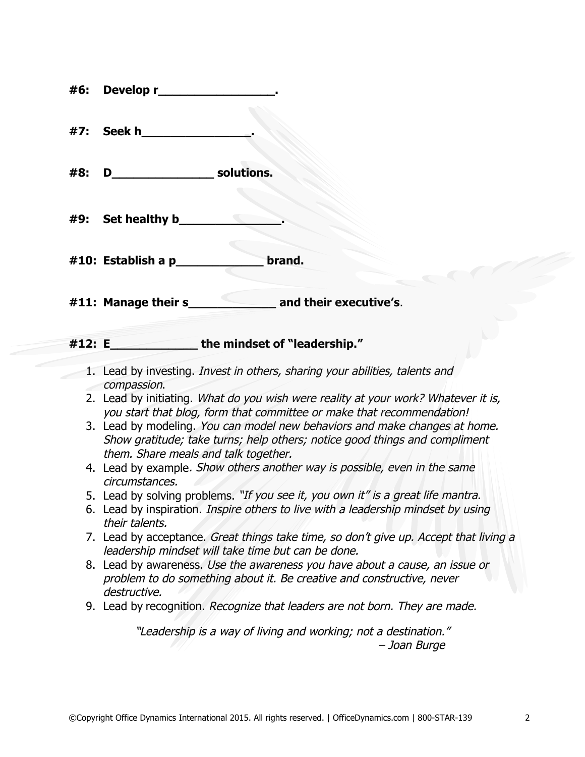| #6: | Develop r_                                                                                                                                                  |  |  |
|-----|-------------------------------------------------------------------------------------------------------------------------------------------------------------|--|--|
| #7: | Seek h                                                                                                                                                      |  |  |
| #8: | solutions.<br>D                                                                                                                                             |  |  |
| #9: | Set healthy b                                                                                                                                               |  |  |
|     | brand.<br>#10: Establish a $p$                                                                                                                              |  |  |
|     | and their executive's.<br>$\#11$ : Manage their s                                                                                                           |  |  |
|     | the mindset of "leadership."<br>#12: E                                                                                                                      |  |  |
|     | 1. Lead by investing. <i>Invest in others, sharing your abilities, talents and</i>                                                                          |  |  |
|     | compassion.                                                                                                                                                 |  |  |
|     | 2. Lead by initiating. What do you wish were reality at your work? Whatever it is,<br>you start that blog, form that committee or make that recommendation! |  |  |
|     | 3. Lead by modeling. You can model new behaviors and make changes at home.                                                                                  |  |  |
|     | Show gratitude; take turns; help others; notice good things and compliment                                                                                  |  |  |
|     | them. Share meals and talk together.<br>4. Lead by example. Show others another way is possible, even in the same                                           |  |  |
|     | circumstances.                                                                                                                                              |  |  |
|     | 5. Lead by solving problems. "If you see it, you own it" is a great life mantra.                                                                            |  |  |
|     | 6. Lead by inspiration. Inspire others to live with a leadership mindset by using                                                                           |  |  |
|     | their talents.<br>7. Lead by acceptance. Great things take time, so don't give up. Accept that living a                                                     |  |  |
|     | leadership mindset will take time but can be done.                                                                                                          |  |  |
|     | 8. Lead by awareness. Use the awareness you have about a cause, an issue or                                                                                 |  |  |
|     | problem to do something about it. Be creative and constructive, never<br>destructive.                                                                       |  |  |
|     | 9. Lead by recognition. Recognize that leaders are not born. They are made.                                                                                 |  |  |
|     | "Leadership is a way of living and working; not a destination."<br>- Joan Burge                                                                             |  |  |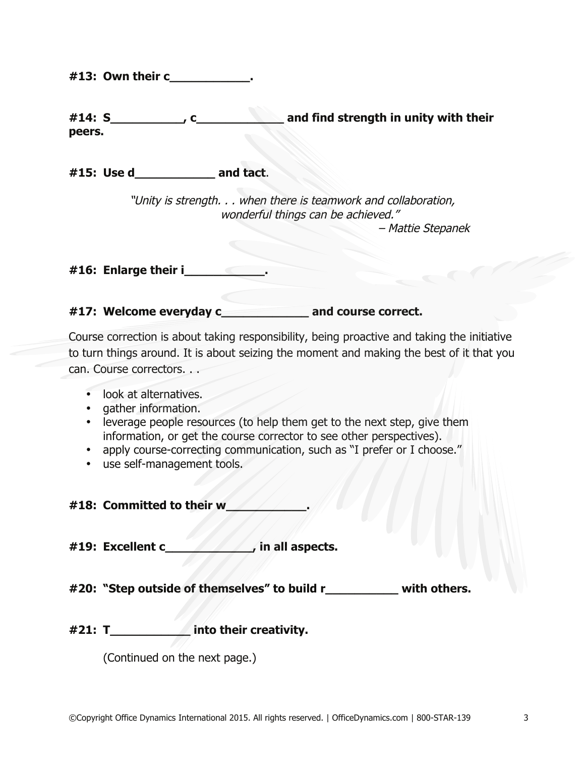**#13: Own their c\_\_\_\_\_\_\_\_\_\_\_.** 

| #14: S | and find strength in unity with their |  |
|--------|---------------------------------------|--|
| peers. |                                       |  |

**#15: Use d\_\_\_\_\_\_\_\_\_\_\_ and tact**.

"Unity is strength. . . when there is teamwork and collaboration, wonderful things can be achieved."

– Mattie Stepanek

**#16: Enlarge their i\_\_\_\_\_\_\_\_\_\_\_.** 

**#17: Welcome everyday c\_\_\_\_\_\_\_\_\_\_\_\_ and course correct.**

Course correction is about taking responsibility, being proactive and taking the initiative to turn things around. It is about seizing the moment and making the best of it that you can. Course correctors. . .

- look at alternatives.
- gather information.
- leverage people resources (to help them get to the next step, give them information, or get the course corrector to see other perspectives).
- apply course-correcting communication, such as "I prefer or I choose."
- use self-management tools.

**#18: Committed to their w\_\_\_\_\_\_\_\_\_\_\_.** 

**#19: Excellent c\_\_\_\_\_\_\_\_\_\_\_\_, in all aspects.**

**#20: "Step outside of themselves" to build r\_\_\_\_\_\_\_\_\_\_ with others.**

**#21: T\_\_\_\_\_\_\_\_\_\_\_ into their creativity.** 

(Continued on the next page.)